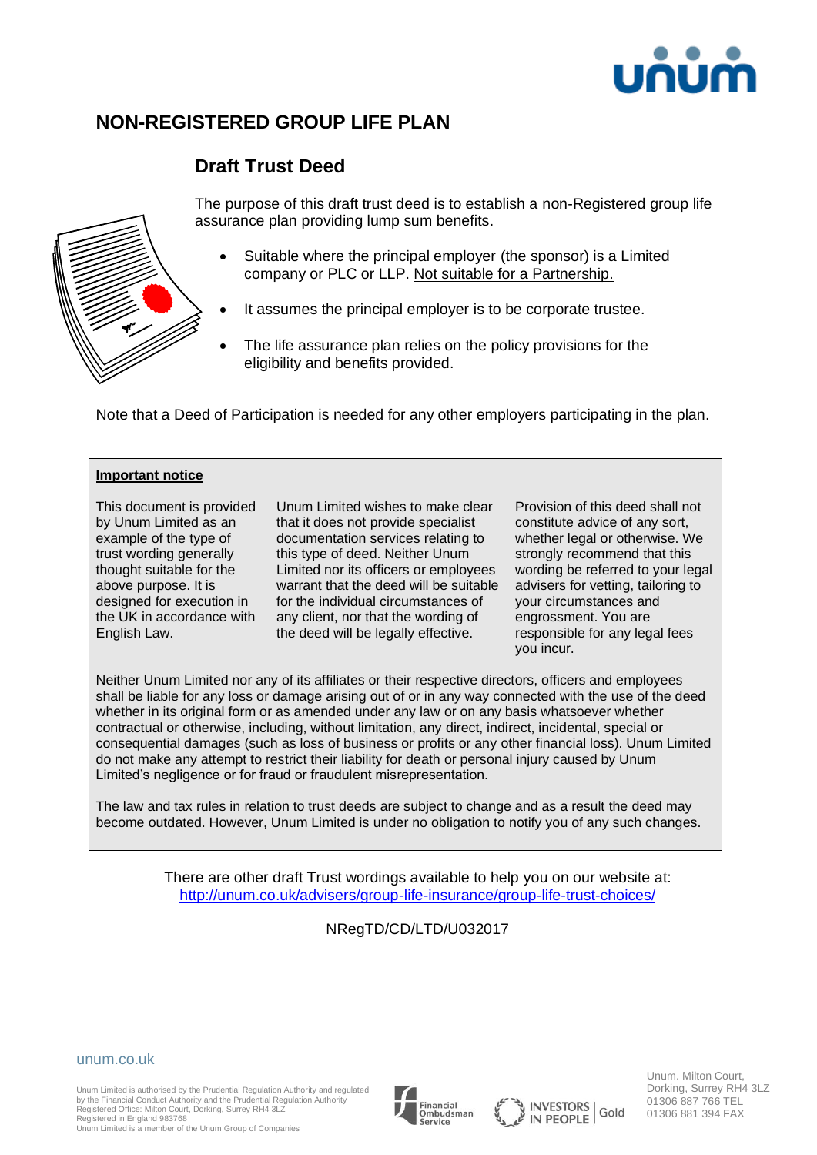

# **NON-REGISTERED GROUP LIFE PLAN**

# **Draft Trust Deed**



The purpose of this draft trust deed is to establish a non-Registered group life assurance plan providing lump sum benefits.

- Suitable where the principal employer (the sponsor) is a Limited company or PLC or LLP. Not suitable for a Partnership.
- It assumes the principal employer is to be corporate trustee.
- The life assurance plan relies on the policy provisions for the eligibility and benefits provided.

Note that a Deed of Participation is needed for any other employers participating in the plan.

#### **Important notice**

This document is provided by Unum Limited as an example of the type of trust wording generally thought suitable for the above purpose. It is designed for execution in the UK in accordance with English Law.

Unum Limited wishes to make clear that it does not provide specialist documentation services relating to this type of deed. Neither Unum Limited nor its officers or employees warrant that the deed will be suitable for the individual circumstances of any client, nor that the wording of the deed will be legally effective.

Provision of this deed shall not constitute advice of any sort, whether legal or otherwise. We strongly recommend that this wording be referred to your legal advisers for vetting, tailoring to your circumstances and engrossment. You are responsible for any legal fees you incur.

Neither Unum Limited nor any of its affiliates or their respective directors, officers and employees shall be liable for any loss or damage arising out of or in any way connected with the use of the deed whether in its original form or as amended under any law or on any basis whatsoever whether contractual or otherwise, including, without limitation, any direct, indirect, incidental, special or consequential damages (such as loss of business or profits or any other financial loss). Unum Limited do not make any attempt to restrict their liability for death or personal injury caused by Unum Limited's negligence or for fraud or fraudulent misrepresentation.

The law and tax rules in relation to trust deeds are subject to change and as a result the deed may become outdated. However, Unum Limited is under no obligation to notify you of any such changes.

> There are other draft Trust wordings available to help you on our website at: <http://unum.co.uk/advisers/group-life-insurance/group-life-trust-choices/>

## NRegTD/CD/LTD/U032017



Unum Limited is authorised by the Prudential Regulation Authority and regulated by the Financial Conduct Authority and the Prudential Regulation Authority Registered Office: Milton Court, Dorking, Surrey RH4 3LZ Registered in England 983768

Unum Limited is a member of the Unum Group of Companies





Dorking, Surrey RH4 3LZ 01306 887 766 TEL Gold 01306 881 394 FAX

Unum. Milton Court,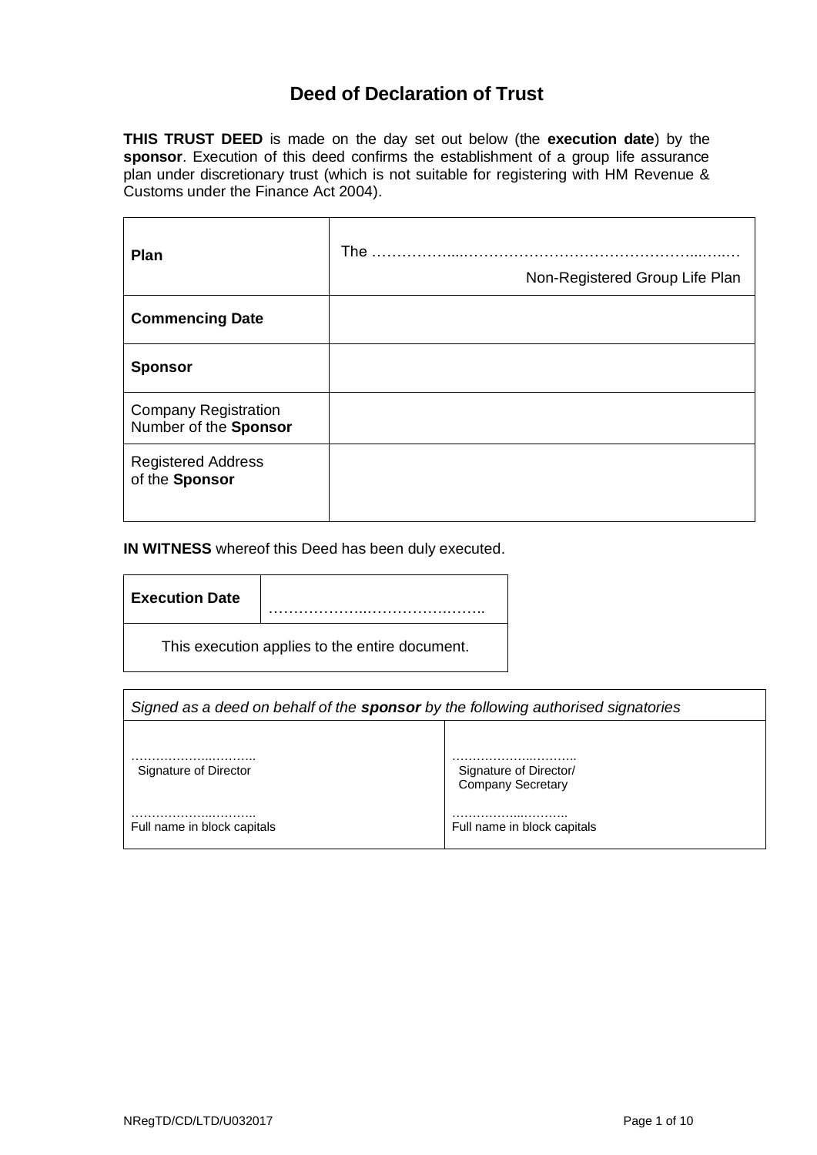# **Deed of Declaration of Trust**

**THIS TRUST DEED** is made on the day set out below (the **execution date**) by the **sponsor**. Execution of this deed confirms the establishment of a group life assurance plan under discretionary trust (which is not suitable for registering with HM Revenue & Customs under the Finance Act 2004).

| Plan                                                 | The<br>Non-Registered Group Life Plan |
|------------------------------------------------------|---------------------------------------|
| <b>Commencing Date</b>                               |                                       |
| <b>Sponsor</b>                                       |                                       |
| <b>Company Registration</b><br>Number of the Sponsor |                                       |
| <b>Registered Address</b><br>of the Sponsor          |                                       |

**IN WITNESS** whereof this Deed has been duly executed.

| <b>Execution Date</b>                          |  |
|------------------------------------------------|--|
| This execution applies to the entire document. |  |

| Signed as a deed on behalf of the <b>sponsor</b> by the following authorised signatories |                                                    |  |
|------------------------------------------------------------------------------------------|----------------------------------------------------|--|
|                                                                                          |                                                    |  |
| Signature of Director                                                                    | Signature of Director/<br><b>Company Secretary</b> |  |
| .<br>Full name in block capitals                                                         | Full name in block capitals                        |  |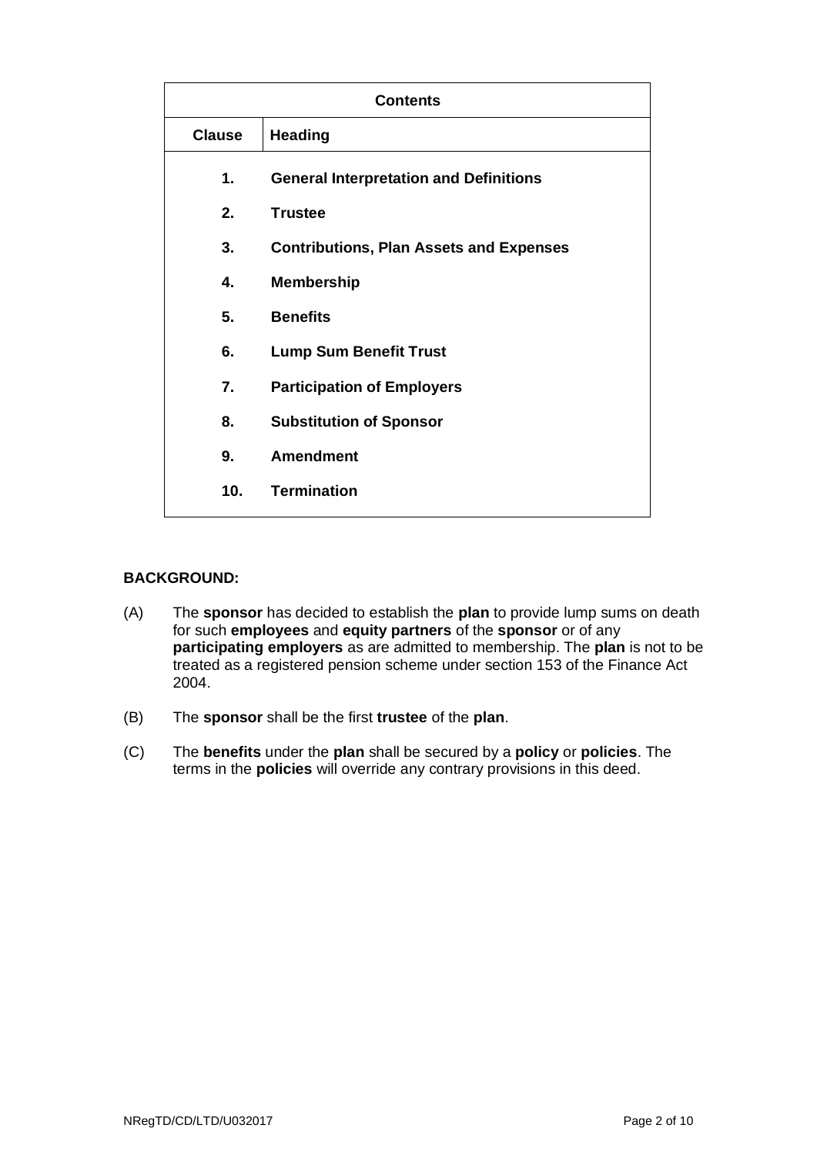| <b>Contents</b> |                                                |  |
|-----------------|------------------------------------------------|--|
| <b>Clause</b>   | <b>Heading</b>                                 |  |
| 1.              | <b>General Interpretation and Definitions</b>  |  |
| 2.              | <b>Trustee</b>                                 |  |
| 3.              | <b>Contributions, Plan Assets and Expenses</b> |  |
| 4.              | <b>Membership</b>                              |  |
| 5.              | <b>Benefits</b>                                |  |
| 6.              | <b>Lump Sum Benefit Trust</b>                  |  |
| 7.              | <b>Participation of Employers</b>              |  |
| 8.              | <b>Substitution of Sponsor</b>                 |  |
| 9.              | <b>Amendment</b>                               |  |
| 10 <sub>1</sub> | <b>Termination</b>                             |  |

#### **BACKGROUND:**

- (A) The **sponsor** has decided to establish the **plan** to provide lump sums on death for such **employees** and **equity partners** of the **sponsor** or of any **participating employers** as are admitted to membership. The **plan** is not to be treated as a registered pension scheme under section 153 of the Finance Act 2004.
- (B) The **sponsor** shall be the first **trustee** of the **plan**.
- (C) The **benefits** under the **plan** shall be secured by a **policy** or **policies**. The terms in the **policies** will override any contrary provisions in this deed.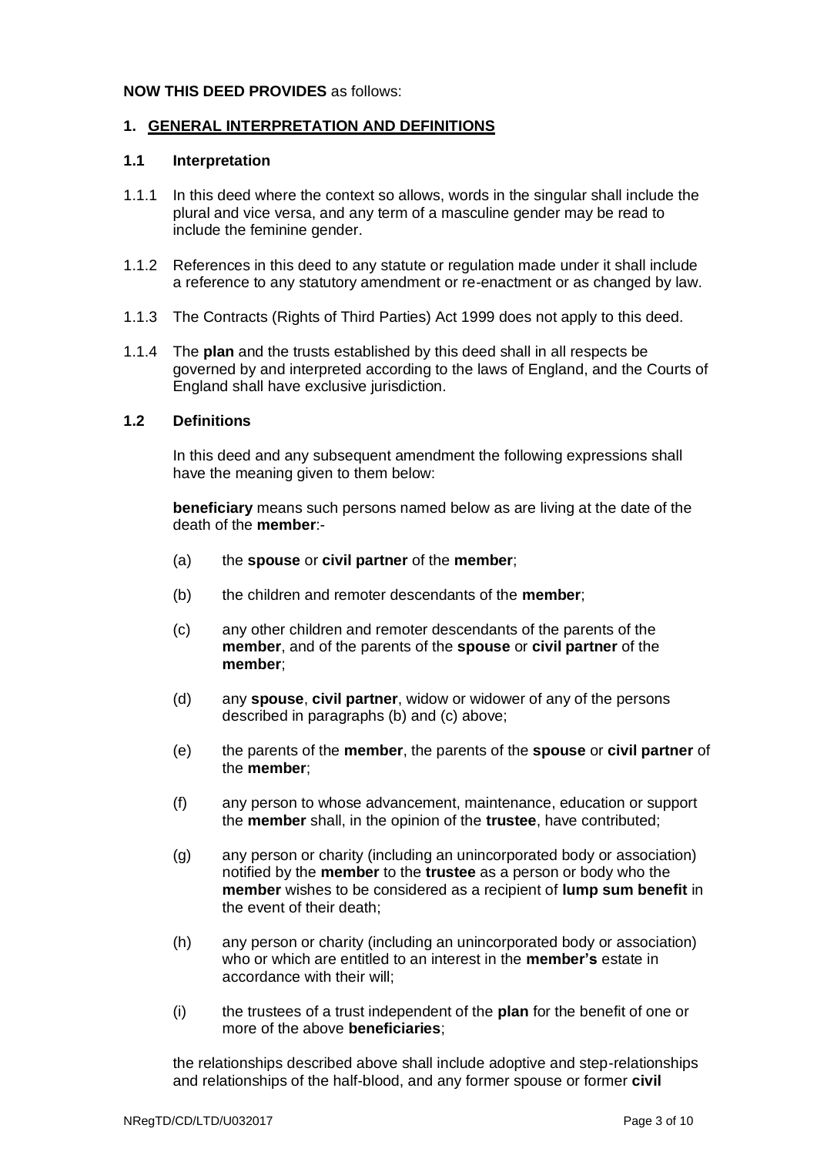#### **NOW THIS DEED PROVIDES** as follows:

#### **1. GENERAL INTERPRETATION AND DEFINITIONS**

#### **1.1 Interpretation**

- 1.1.1 In this deed where the context so allows, words in the singular shall include the plural and vice versa, and any term of a masculine gender may be read to include the feminine gender.
- 1.1.2 References in this deed to any statute or regulation made under it shall include a reference to any statutory amendment or re-enactment or as changed by law.
- 1.1.3 The Contracts (Rights of Third Parties) Act 1999 does not apply to this deed.
- 1.1.4 The **plan** and the trusts established by this deed shall in all respects be governed by and interpreted according to the laws of England, and the Courts of England shall have exclusive jurisdiction.

#### **1.2 Definitions**

In this deed and any subsequent amendment the following expressions shall have the meaning given to them below:

**beneficiary** means such persons named below as are living at the date of the death of the **member**:-

- (a) the **spouse** or **civil partner** of the **member**;
- (b) the children and remoter descendants of the **member**;
- (c) any other children and remoter descendants of the parents of the **member**, and of the parents of the **spouse** or **civil partner** of the **member**;
- (d) any **spouse**, **civil partner**, widow or widower of any of the persons described in paragraphs (b) and (c) above;
- (e) the parents of the **member**, the parents of the **spouse** or **civil partner** of the **member**;
- (f) any person to whose advancement, maintenance, education or support the **member** shall, in the opinion of the **trustee**, have contributed;
- (g) any person or charity (including an unincorporated body or association) notified by the **member** to the **trustee** as a person or body who the **member** wishes to be considered as a recipient of **lump sum benefit** in the event of their death;
- (h) any person or charity (including an unincorporated body or association) who or which are entitled to an interest in the **member's** estate in accordance with their will;
- (i) the trustees of a trust independent of the **plan** for the benefit of one or more of the above **beneficiaries**;

the relationships described above shall include adoptive and step-relationships and relationships of the half-blood, and any former spouse or former **civil**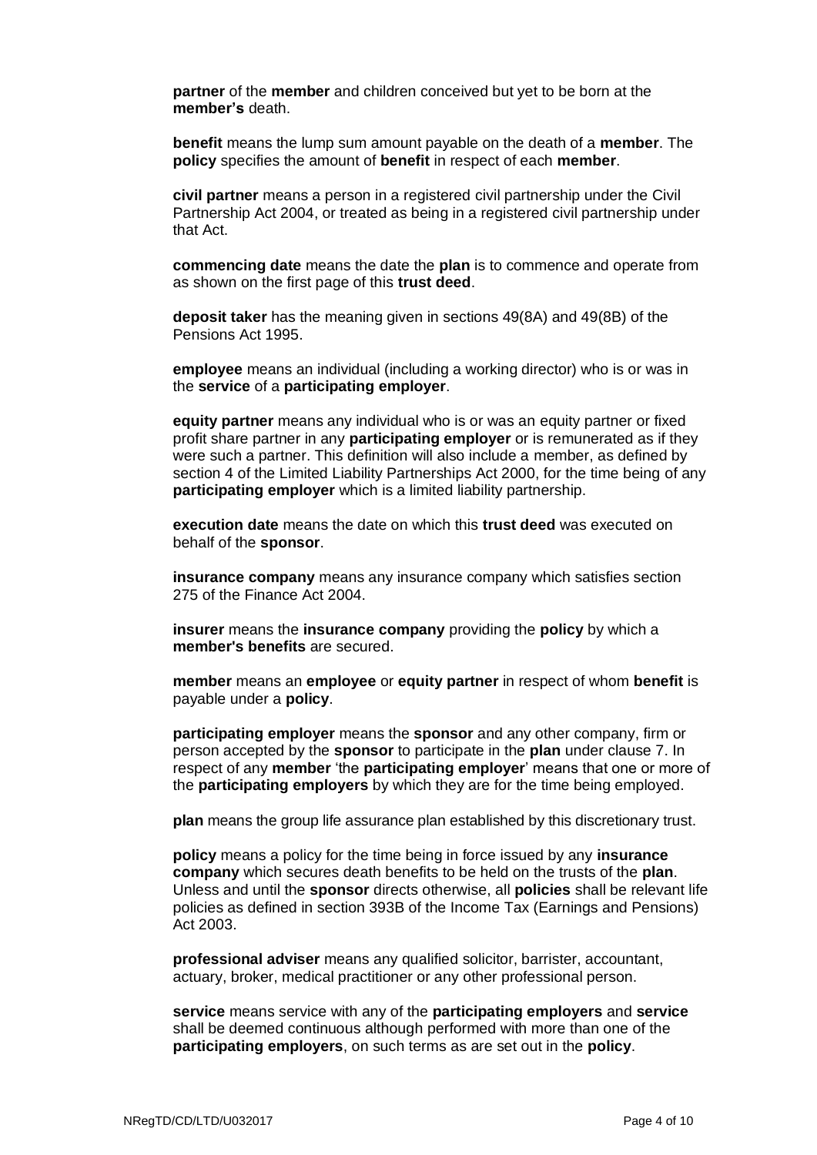**partner** of the **member** and children conceived but yet to be born at the **member's** death.

**benefit** means the lump sum amount payable on the death of a **member**. The **policy** specifies the amount of **benefit** in respect of each **member**.

**civil partner** means a person in a registered civil partnership under the Civil Partnership Act 2004, or treated as being in a registered civil partnership under that Act.

**commencing date** means the date the **plan** is to commence and operate from as shown on the first page of this **trust deed**.

**deposit taker** has the meaning given in sections 49(8A) and 49(8B) of the Pensions Act 1995.

**employee** means an individual (including a working director) who is or was in the **service** of a **participating employer**.

**equity partner** means any individual who is or was an equity partner or fixed profit share partner in any **participating employer** or is remunerated as if they were such a partner. This definition will also include a member, as defined by section 4 of the Limited Liability Partnerships Act 2000, for the time being of any **participating employer** which is a limited liability partnership.

**execution date** means the date on which this **trust deed** was executed on behalf of the **sponsor**.

**insurance company** means any insurance company which satisfies section 275 of the Finance Act 2004.

**insurer** means the **insurance company** providing the **policy** by which a **member's benefits** are secured.

**member** means an **employee** or **equity partner** in respect of whom **benefit** is payable under a **policy**.

**participating employer** means the **sponsor** and any other company, firm or person accepted by the **sponsor** to participate in the **plan** under clause 7. In respect of any **member** 'the **participating employer**' means that one or more of the **participating employers** by which they are for the time being employed.

**plan** means the group life assurance plan established by this discretionary trust.

**policy** means a policy for the time being in force issued by any **insurance company** which secures death benefits to be held on the trusts of the **plan**. Unless and until the **sponsor** directs otherwise, all **policies** shall be relevant life policies as defined in section 393B of the Income Tax (Earnings and Pensions) Act 2003.

**professional adviser** means any qualified solicitor, barrister, accountant, actuary, broker, medical practitioner or any other professional person.

**service** means service with any of the **participating employers** and **service** shall be deemed continuous although performed with more than one of the **participating employers**, on such terms as are set out in the **policy**.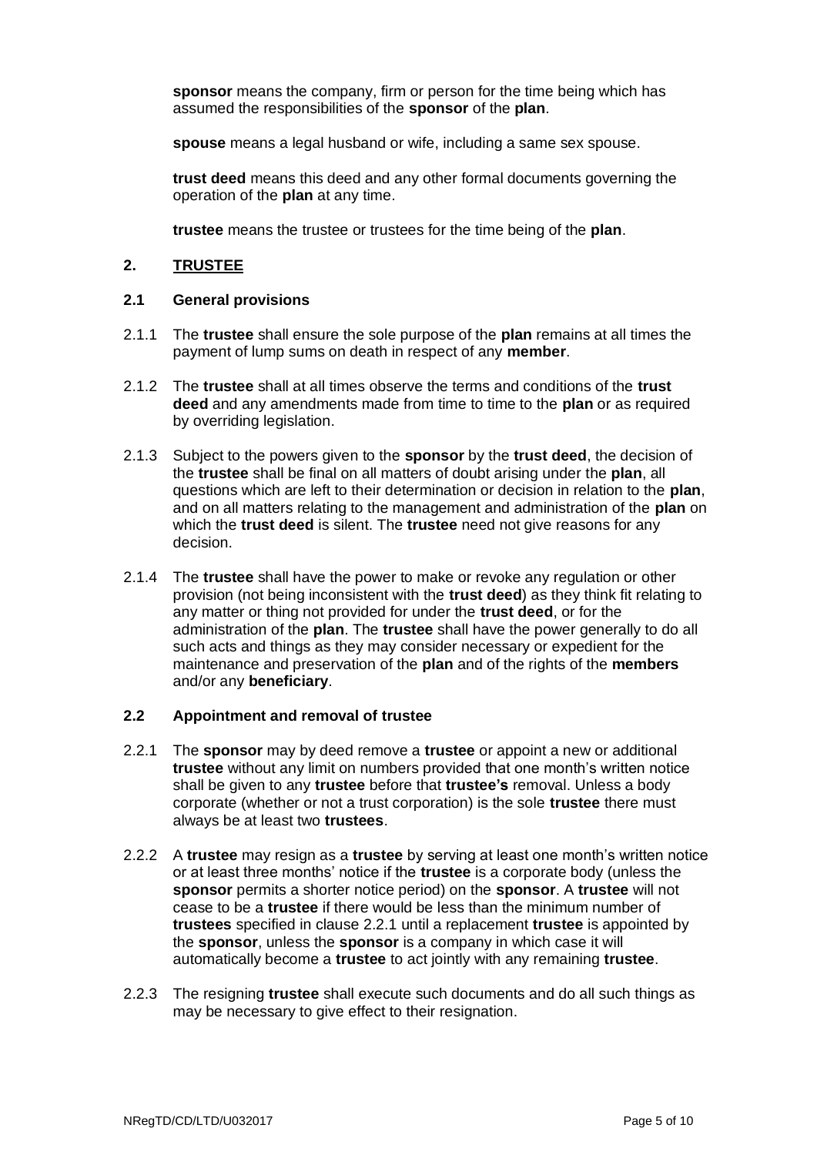**sponsor** means the company, firm or person for the time being which has assumed the responsibilities of the **sponsor** of the **plan**.

**spouse** means a legal husband or wife, including a same sex spouse.

**trust deed** means this deed and any other formal documents governing the operation of the **plan** at any time.

**trustee** means the trustee or trustees for the time being of the **plan**.

#### **2. TRUSTEE**

#### **2.1 General provisions**

- 2.1.1 The **trustee** shall ensure the sole purpose of the **plan** remains at all times the payment of lump sums on death in respect of any **member**.
- 2.1.2 The **trustee** shall at all times observe the terms and conditions of the **trust deed** and any amendments made from time to time to the **plan** or as required by overriding legislation.
- 2.1.3 Subject to the powers given to the **sponsor** by the **trust deed**, the decision of the **trustee** shall be final on all matters of doubt arising under the **plan**, all questions which are left to their determination or decision in relation to the **plan**, and on all matters relating to the management and administration of the **plan** on which the **trust deed** is silent. The **trustee** need not give reasons for any decision.
- 2.1.4 The **trustee** shall have the power to make or revoke any regulation or other provision (not being inconsistent with the **trust deed**) as they think fit relating to any matter or thing not provided for under the **trust deed**, or for the administration of the **plan**. The **trustee** shall have the power generally to do all such acts and things as they may consider necessary or expedient for the maintenance and preservation of the **plan** and of the rights of the **members** and/or any **beneficiary**.

#### **2.2 Appointment and removal of trustee**

- 2.2.1 The **sponsor** may by deed remove a **trustee** or appoint a new or additional **trustee** without any limit on numbers provided that one month's written notice shall be given to any **trustee** before that **trustee's** removal. Unless a body corporate (whether or not a trust corporation) is the sole **trustee** there must always be at least two **trustees**.
- 2.2.2 A **trustee** may resign as a **trustee** by serving at least one month's written notice or at least three months' notice if the **trustee** is a corporate body (unless the **sponsor** permits a shorter notice period) on the **sponsor**. A **trustee** will not cease to be a **trustee** if there would be less than the minimum number of **trustees** specified in clause 2.2.1 until a replacement **trustee** is appointed by the **sponsor**, unless the **sponsor** is a company in which case it will automatically become a **trustee** to act jointly with any remaining **trustee**.
- 2.2.3 The resigning **trustee** shall execute such documents and do all such things as may be necessary to give effect to their resignation.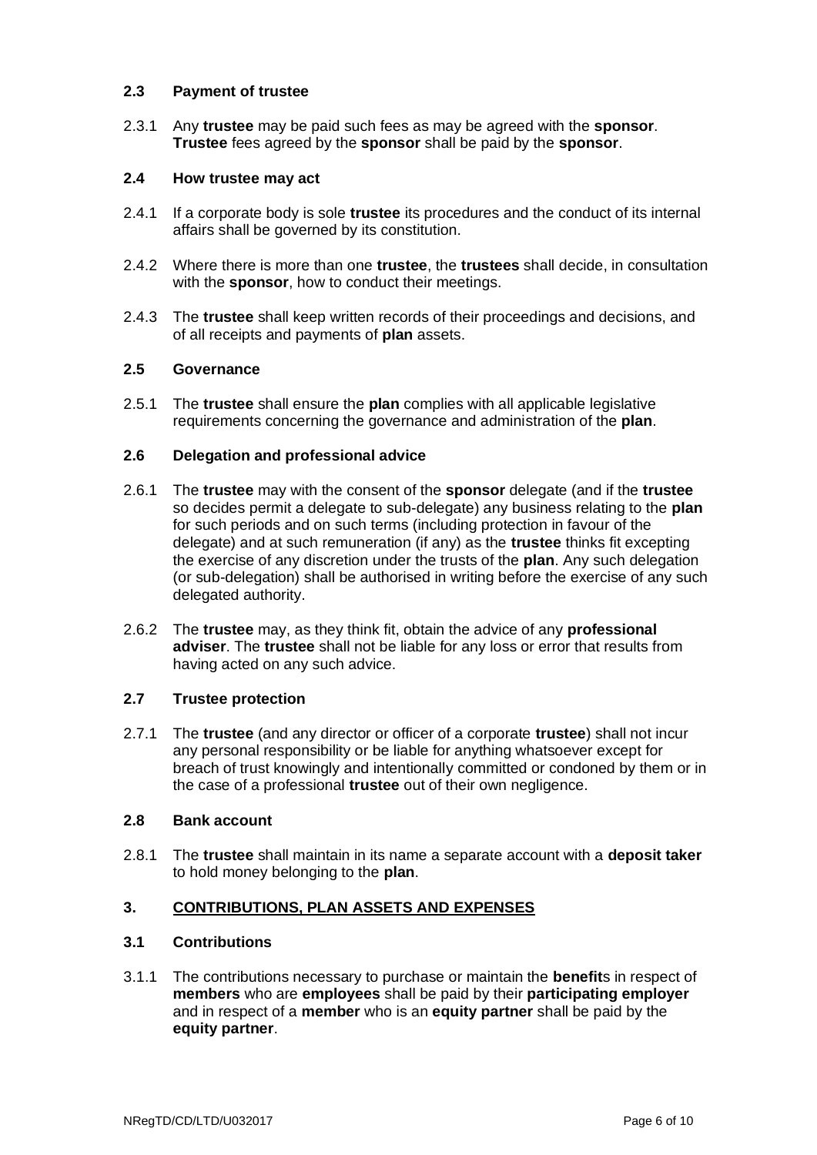#### **2.3 Payment of trustee**

2.3.1 Any **trustee** may be paid such fees as may be agreed with the **sponsor**. **Trustee** fees agreed by the **sponsor** shall be paid by the **sponsor**.

#### **2.4 How trustee may act**

- 2.4.1 If a corporate body is sole **trustee** its procedures and the conduct of its internal affairs shall be governed by its constitution.
- 2.4.2 Where there is more than one **trustee**, the **trustees** shall decide, in consultation with the **sponsor**, how to conduct their meetings.
- 2.4.3 The **trustee** shall keep written records of their proceedings and decisions, and of all receipts and payments of **plan** assets.

#### **2.5 Governance**

2.5.1 The **trustee** shall ensure the **plan** complies with all applicable legislative requirements concerning the governance and administration of the **plan**.

#### **2.6 Delegation and professional advice**

- 2.6.1 The **trustee** may with the consent of the **sponsor** delegate (and if the **trustee** so decides permit a delegate to sub-delegate) any business relating to the **plan** for such periods and on such terms (including protection in favour of the delegate) and at such remuneration (if any) as the **trustee** thinks fit excepting the exercise of any discretion under the trusts of the **plan**. Any such delegation (or sub-delegation) shall be authorised in writing before the exercise of any such delegated authority.
- 2.6.2 The **trustee** may, as they think fit, obtain the advice of any **professional adviser**. The **trustee** shall not be liable for any loss or error that results from having acted on any such advice.

#### **2.7 Trustee protection**

2.7.1 The **trustee** (and any director or officer of a corporate **trustee**) shall not incur any personal responsibility or be liable for anything whatsoever except for breach of trust knowingly and intentionally committed or condoned by them or in the case of a professional **trustee** out of their own negligence.

#### **2.8 Bank account**

2.8.1 The **trustee** shall maintain in its name a separate account with a **deposit taker** to hold money belonging to the **plan**.

### **3. CONTRIBUTIONS, PLAN ASSETS AND EXPENSES**

### **3.1 Contributions**

3.1.1 The contributions necessary to purchase or maintain the **benefit**s in respect of **members** who are **employees** shall be paid by their **participating employer** and in respect of a **member** who is an **equity partner** shall be paid by the **equity partner**.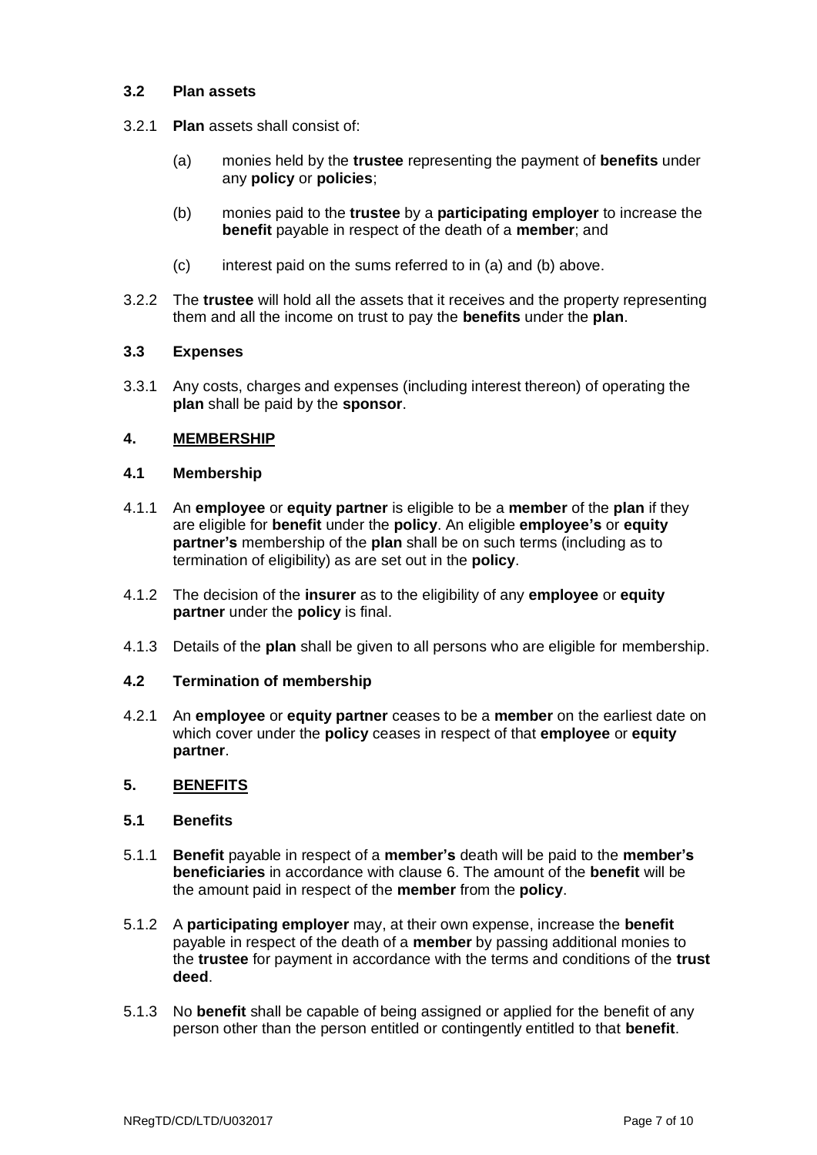#### **3.2 Plan assets**

- 3.2.1 **Plan** assets shall consist of:
	- (a) monies held by the **trustee** representing the payment of **benefits** under any **policy** or **policies**;
	- (b) monies paid to the **trustee** by a **participating employer** to increase the **benefit** payable in respect of the death of a **member**; and
	- (c) interest paid on the sums referred to in (a) and (b) above.
- 3.2.2 The **trustee** will hold all the assets that it receives and the property representing them and all the income on trust to pay the **benefits** under the **plan**.

#### **3.3 Expenses**

3.3.1 Any costs, charges and expenses (including interest thereon) of operating the **plan** shall be paid by the **sponsor**.

#### **4. MEMBERSHIP**

#### **4.1 Membership**

- 4.1.1 An **employee** or **equity partner** is eligible to be a **member** of the **plan** if they are eligible for **benefit** under the **policy**. An eligible **employee's** or **equity partner's** membership of the **plan** shall be on such terms (including as to termination of eligibility) as are set out in the **policy**.
- 4.1.2 The decision of the **insurer** as to the eligibility of any **employee** or **equity partner** under the **policy** is final.
- 4.1.3 Details of the **plan** shall be given to all persons who are eligible for membership.

#### **4.2 Termination of membership**

4.2.1 An **employee** or **equity partner** ceases to be a **member** on the earliest date on which cover under the **policy** ceases in respect of that **employee** or **equity partner**.

#### **5. BENEFITS**

#### **5.1 Benefits**

- 5.1.1 **Benefit** payable in respect of a **member's** death will be paid to the **member's beneficiaries** in accordance with clause 6. The amount of the **benefit** will be the amount paid in respect of the **member** from the **policy**.
- 5.1.2 A **participating employer** may, at their own expense, increase the **benefit** payable in respect of the death of a **member** by passing additional monies to the **trustee** for payment in accordance with the terms and conditions of the **trust deed**.
- 5.1.3 No **benefit** shall be capable of being assigned or applied for the benefit of any person other than the person entitled or contingently entitled to that **benefit**.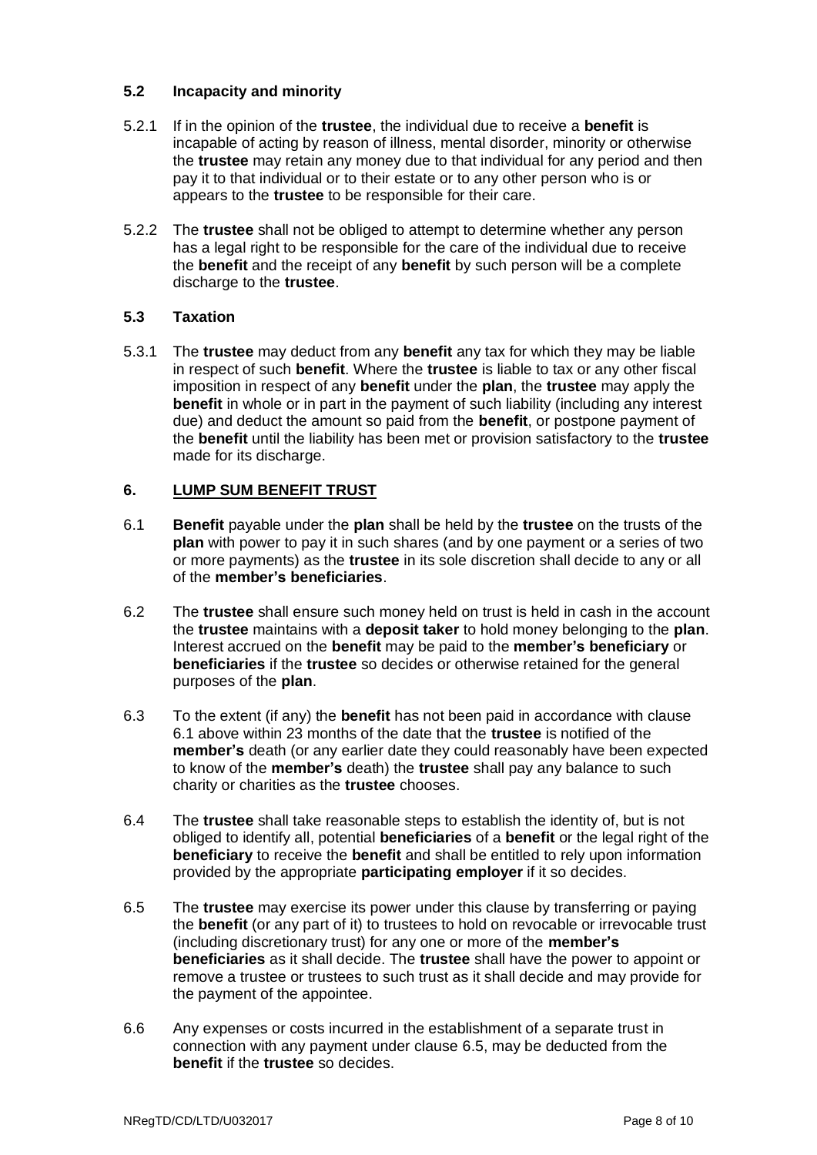### **5.2 Incapacity and minority**

- 5.2.1 If in the opinion of the **trustee**, the individual due to receive a **benefit** is incapable of acting by reason of illness, mental disorder, minority or otherwise the **trustee** may retain any money due to that individual for any period and then pay it to that individual or to their estate or to any other person who is or appears to the **trustee** to be responsible for their care.
- 5.2.2 The **trustee** shall not be obliged to attempt to determine whether any person has a legal right to be responsible for the care of the individual due to receive the **benefit** and the receipt of any **benefit** by such person will be a complete discharge to the **trustee**.

### **5.3 Taxation**

5.3.1 The **trustee** may deduct from any **benefit** any tax for which they may be liable in respect of such **benefit**. Where the **trustee** is liable to tax or any other fiscal imposition in respect of any **benefit** under the **plan**, the **trustee** may apply the **benefit** in whole or in part in the payment of such liability (including any interest due) and deduct the amount so paid from the **benefit**, or postpone payment of the **benefit** until the liability has been met or provision satisfactory to the **trustee** made for its discharge.

#### **6. LUMP SUM BENEFIT TRUST**

- 6.1 **Benefit** payable under the **plan** shall be held by the **trustee** on the trusts of the **plan** with power to pay it in such shares (and by one payment or a series of two or more payments) as the **trustee** in its sole discretion shall decide to any or all of the **member's beneficiaries**.
- 6.2 The **trustee** shall ensure such money held on trust is held in cash in the account the **trustee** maintains with a **deposit taker** to hold money belonging to the **plan**. Interest accrued on the **benefit** may be paid to the **member's beneficiary** or **beneficiaries** if the **trustee** so decides or otherwise retained for the general purposes of the **plan**.
- 6.3 To the extent (if any) the **benefit** has not been paid in accordance with clause 6.1 above within 23 months of the date that the **trustee** is notified of the **member's** death (or any earlier date they could reasonably have been expected to know of the **member's** death) the **trustee** shall pay any balance to such charity or charities as the **trustee** chooses.
- 6.4 The **trustee** shall take reasonable steps to establish the identity of, but is not obliged to identify all, potential **beneficiaries** of a **benefit** or the legal right of the **beneficiary** to receive the **benefit** and shall be entitled to rely upon information provided by the appropriate **participating employer** if it so decides.
- 6.5 The **trustee** may exercise its power under this clause by transferring or paying the **benefit** (or any part of it) to trustees to hold on revocable or irrevocable trust (including discretionary trust) for any one or more of the **member's beneficiaries** as it shall decide. The **trustee** shall have the power to appoint or remove a trustee or trustees to such trust as it shall decide and may provide for the payment of the appointee.
- 6.6 Any expenses or costs incurred in the establishment of a separate trust in connection with any payment under clause 6.5, may be deducted from the **benefit** if the **trustee** so decides.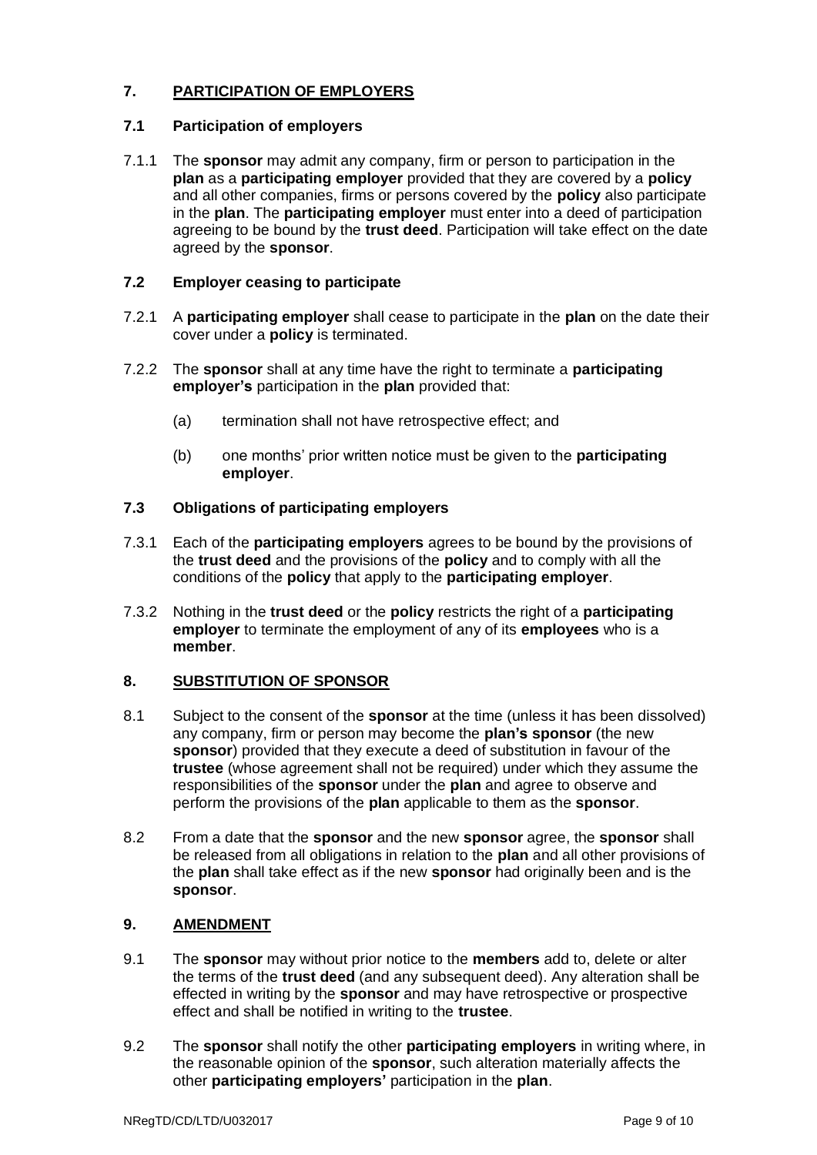### **7. PARTICIPATION OF EMPLOYERS**

## **7.1 Participation of employers**

7.1.1 The **sponsor** may admit any company, firm or person to participation in the **plan** as a **participating employer** provided that they are covered by a **policy** and all other companies, firms or persons covered by the **policy** also participate in the **plan**. The **participating employer** must enter into a deed of participation agreeing to be bound by the **trust deed**. Participation will take effect on the date agreed by the **sponsor**.

## **7.2 Employer ceasing to participate**

- 7.2.1 A **participating employer** shall cease to participate in the **plan** on the date their cover under a **policy** is terminated.
- 7.2.2 The **sponsor** shall at any time have the right to terminate a **participating employer's** participation in the **plan** provided that:
	- (a) termination shall not have retrospective effect; and
	- (b) one months' prior written notice must be given to the **participating employer**.

## **7.3 Obligations of participating employers**

- 7.3.1 Each of the **participating employers** agrees to be bound by the provisions of the **trust deed** and the provisions of the **policy** and to comply with all the conditions of the **policy** that apply to the **participating employer**.
- 7.3.2 Nothing in the **trust deed** or the **policy** restricts the right of a **participating employer** to terminate the employment of any of its **employees** who is a **member**.

## **8. SUBSTITUTION OF SPONSOR**

- 8.1 Subject to the consent of the **sponsor** at the time (unless it has been dissolved) any company, firm or person may become the **plan's sponsor** (the new **sponsor**) provided that they execute a deed of substitution in favour of the **trustee** (whose agreement shall not be required) under which they assume the responsibilities of the **sponsor** under the **plan** and agree to observe and perform the provisions of the **plan** applicable to them as the **sponsor**.
- 8.2 From a date that the **sponsor** and the new **sponsor** agree, the **sponsor** shall be released from all obligations in relation to the **plan** and all other provisions of the **plan** shall take effect as if the new **sponsor** had originally been and is the **sponsor**.

## **9. AMENDMENT**

- 9.1 The **sponsor** may without prior notice to the **members** add to, delete or alter the terms of the **trust deed** (and any subsequent deed). Any alteration shall be effected in writing by the **sponsor** and may have retrospective or prospective effect and shall be notified in writing to the **trustee**.
- 9.2 The **sponsor** shall notify the other **participating employers** in writing where, in the reasonable opinion of the **sponsor**, such alteration materially affects the other **participating employers'** participation in the **plan**.